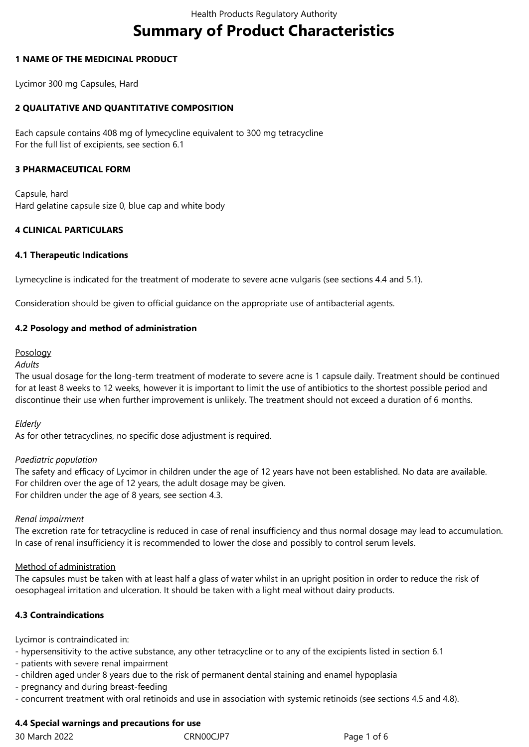# **Summary of Product Characteristics**

#### **1 NAME OF THE MEDICINAL PRODUCT**

Lycimor 300 mg Capsules, Hard

# **2 QUALITATIVE AND QUANTITATIVE COMPOSITION**

Each capsule contains 408 mg of lymecycline equivalent to 300 mg tetracycline For the full list of excipients, see section 6.1

#### **3 PHARMACEUTICAL FORM**

Capsule, hard Hard gelatine capsule size 0, blue cap and white body

## **4 CLINICAL PARTICULARS**

#### **4.1 Therapeutic Indications**

Lymecycline is indicated for the treatment of moderate to severe acne vulgaris (see sections 4.4 and 5.1).

Consideration should be given to official guidance on the appropriate use of antibacterial agents.

#### **4.2 Posology and method of administration**

#### Posology

## *Adults*

The usual dosage for the long-term treatment of moderate to severe acne is 1 capsule daily. Treatment should be continued for at least 8 weeks to 12 weeks, however it is important to limit the use of antibiotics to the shortest possible period and discontinue their use when further improvement is unlikely. The treatment should not exceed a duration of 6 months.

#### *Elderly*

As for other tetracyclines, no specific dose adjustment is required.

#### *Paediatric population*

The safety and efficacy of Lycimor in children under the age of 12 years have not been established. No data are available. For children over the age of 12 years, the adult dosage may be given. For children under the age of 8 years, see section 4.3.

#### *Renal impairment*

The excretion rate for tetracycline is reduced in case of renal insufficiency and thus normal dosage may lead to accumulation. In case of renal insufficiency it is recommended to lower the dose and possibly to control serum levels.

## Method of administration

The capsules must be taken with at least half a glass of water whilst in an upright position in order to reduce the risk of oesophageal irritation and ulceration. It should be taken with a light meal without dairy products.

## **4.3 Contraindications**

Lycimor is contraindicated in:

- hypersensitivity to the active substance, any other tetracycline or to any of the excipients listed in section 6.1

- patients with severe renal impairment
- children aged under 8 years due to the risk of permanent dental staining and enamel hypoplasia
- pregnancy and during breast-feeding
- concurrent treatment with oral retinoids and use in association with systemic retinoids (see sections 4.5 and 4.8).

# **4.4 Special warnings and precautions for use**

30 March 2022 CRN00CJP7 Page 1 of 6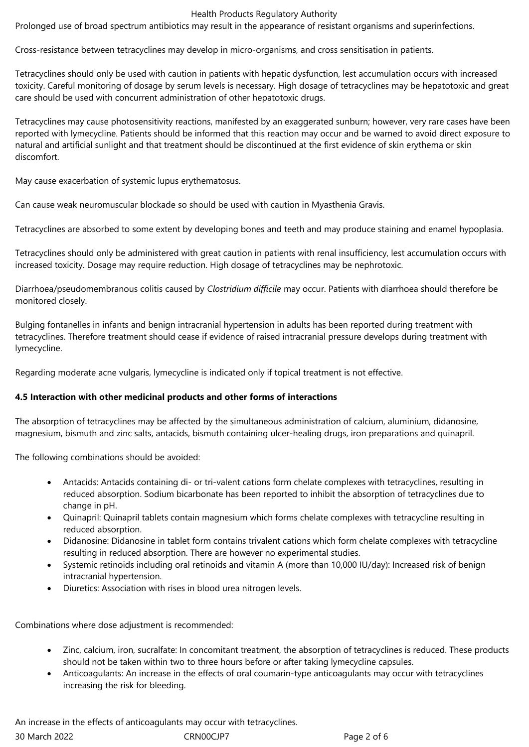#### Health Products Regulatory Authority

Prolonged use of broad spectrum antibiotics may result in the appearance of resistant organisms and superinfections.

Cross-resistance between tetracyclines may develop in micro-organisms, and cross sensitisation in patients.

Tetracyclines should only be used with caution in patients with hepatic dysfunction, lest accumulation occurs with increased toxicity. Careful monitoring of dosage by serum levels is necessary. High dosage of tetracyclines may be hepatotoxic and great care should be used with concurrent administration of other hepatotoxic drugs.

Tetracyclines may cause photosensitivity reactions, manifested by an exaggerated sunburn; however, very rare cases have been reported with lymecycline. Patients should be informed that this reaction may occur and be warned to avoid direct exposure to natural and artificial sunlight and that treatment should be discontinued at the first evidence of skin erythema or skin discomfort.

May cause exacerbation of systemic lupus erythematosus.

Can cause weak neuromuscular blockade so should be used with caution in Myasthenia Gravis.

Tetracyclines are absorbed to some extent by developing bones and teeth and may produce staining and enamel hypoplasia.

Tetracyclines should only be administered with great caution in patients with renal insufficiency, lest accumulation occurs with increased toxicity. Dosage may require reduction. High dosage of tetracyclines may be nephrotoxic.

Diarrhoea/pseudomembranous colitis caused by *Clostridium difficile* may occur. Patients with diarrhoea should therefore be monitored closely.

Bulging fontanelles in infants and benign intracranial hypertension in adults has been reported during treatment with tetracyclines. Therefore treatment should cease if evidence of raised intracranial pressure develops during treatment with lymecycline.

Regarding moderate acne vulgaris, lymecycline is indicated only if topical treatment is not effective.

## **4.5 Interaction with other medicinal products and other forms of interactions**

The absorption of tetracyclines may be affected by the simultaneous administration of calcium, aluminium, didanosine, magnesium, bismuth and zinc salts, antacids, bismuth containing ulcer-healing drugs, iron preparations and quinapril.

The following combinations should be avoided:

- Antacids: Antacids containing di- or tri-valent cations form chelate complexes with tetracyclines, resulting in reduced absorption. Sodium bicarbonate has been reported to inhibit the absorption of tetracyclines due to change in pH.
- Quinapril: Quinapril tablets contain magnesium which forms chelate complexes with tetracycline resulting in reduced absorption.
- Didanosine: Didanosine in tablet form contains trivalent cations which form chelate complexes with tetracycline resulting in reduced absorption. There are however no experimental studies.
- Systemic retinoids including oral retinoids and vitamin A (more than 10,000 IU/day): Increased risk of benign intracranial hypertension.
- Diuretics: Association with rises in blood urea nitrogen levels.

Combinations where dose adjustment is recommended:

- Zinc, calcium, iron, sucralfate: In concomitant treatment, the absorption of tetracyclines is reduced. These products should not be taken within two to three hours before or after taking lymecycline capsules.
- Anticoagulants: An increase in the effects of oral coumarin-type anticoagulants may occur with tetracyclines increasing the risk for bleeding.

30 March 2022 CRN00CJP7 Page 2 of 6 An increase in the effects of anticoagulants may occur with tetracyclines.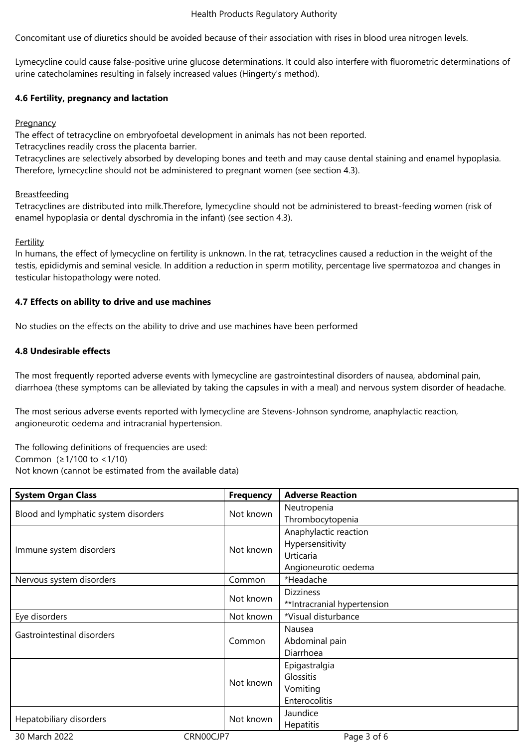#### Health Products Regulatory Authority

Concomitant use of diuretics should be avoided because of their association with rises in blood urea nitrogen levels.

Lymecycline could cause false-positive urine glucose determinations. It could also interfere with fluorometric determinations of urine catecholamines resulting in falsely increased values (Hingerty's method).

#### **4.6 Fertility, pregnancy and lactation**

#### **Pregnancy**

The effect of tetracycline on embryofoetal development in animals has not been reported.

Tetracyclines readily cross the placenta barrier.

Tetracyclines are selectively absorbed by developing bones and teeth and may cause dental staining and enamel hypoplasia. Therefore, lymecycline should not be administered to pregnant women (see section 4.3).

#### Breastfeeding

Tetracyclines are distributed into milk.Therefore, lymecycline should not be administered to breast-feeding women (risk of enamel hypoplasia or dental dyschromia in the infant) (see section 4.3).

#### **Fertility**

In humans, the effect of lymecycline on fertility is unknown. In the rat, tetracyclines caused a reduction in the weight of the testis, epididymis and seminal vesicle. In addition a reduction in sperm motility, percentage live spermatozoa and changes in testicular histopathology were noted.

#### **4.7 Effects on ability to drive and use machines**

No studies on the effects on the ability to drive and use machines have been performed

#### **4.8 Undesirable effects**

The most frequently reported adverse events with lymecycline are gastrointestinal disorders of nausea, abdominal pain, diarrhoea (these symptoms can be alleviated by taking the capsules in with a meal) and nervous system disorder of headache.

The most serious adverse events reported with lymecycline are Stevens-Johnson syndrome, anaphylactic reaction, angioneurotic oedema and intracranial hypertension.

The following definitions of frequencies are used: Common (≥1/100 to <1/10) Not known (cannot be estimated from the available data)

| <b>System Organ Class</b>                         | <b>Frequency</b> | <b>Adverse Reaction</b>     |
|---------------------------------------------------|------------------|-----------------------------|
| Not known<br>Blood and lymphatic system disorders | Neutropenia      |                             |
|                                                   |                  | Thrombocytopenia            |
| Not known<br>Immune system disorders              |                  | Anaphylactic reaction       |
|                                                   |                  | Hypersensitivity            |
|                                                   |                  | Urticaria                   |
|                                                   |                  | Angioneurotic oedema        |
| Nervous system disorders                          | Common           | *Headache                   |
|                                                   |                  | <b>Dizziness</b>            |
|                                                   | Not known        | **Intracranial hypertension |
| Eye disorders                                     | Not known        | *Visual disturbance         |
| Gastrointestinal disorders                        |                  | Nausea                      |
|                                                   | Common           | Abdominal pain              |
|                                                   |                  | Diarrhoea                   |
|                                                   |                  | Epigastralgia               |
|                                                   | Not known        | Glossitis                   |
|                                                   |                  | Vomiting                    |
|                                                   |                  | Enterocolitis               |
| Not known<br>Hepatobiliary disorders              |                  | Jaundice                    |
|                                                   |                  | <b>Hepatitis</b>            |
| 30 March 2022<br>CRN00CJP7                        |                  | Page 3 of 6                 |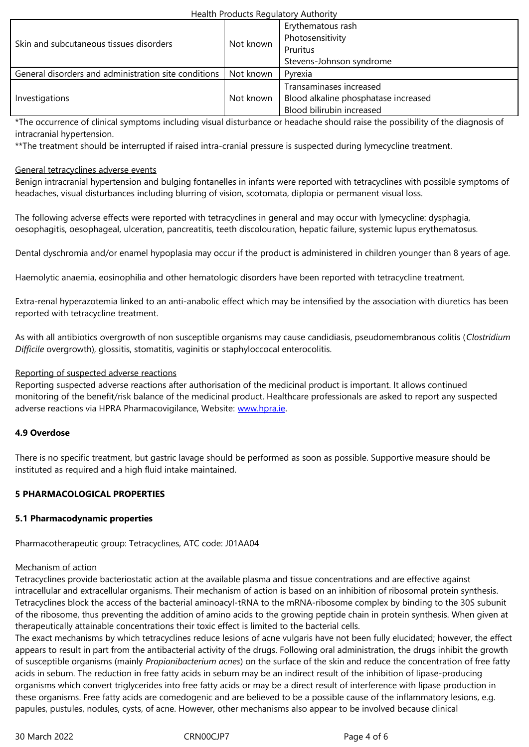| <u>-Skill allu subcutalleous tissues disoluei s</u>              | <u>IVUL KIIUWIT</u> | Pruritus<br>Stevens-Johnson syndrome                                                         |
|------------------------------------------------------------------|---------------------|----------------------------------------------------------------------------------------------|
| General disorders and administration site conditions   Not known |                     | Pyrexia                                                                                      |
| Investigations                                                   | . Not known         | Transaminases increased<br>Blood alkaline phosphatase increased<br>Blood bilirubin increased |

\*The occurrence of clinical symptoms including visual disturbance or headache should raise the possibility of the diagnosis of intracranial hypertension.

\*\*The treatment should be interrupted if raised intra-cranial pressure is suspected during lymecycline treatment.

#### General tetracyclines adverse events

Benign intracranial hypertension and bulging fontanelles in infants were reported with tetracyclines with possible symptoms of headaches, visual disturbances including blurring of vision, scotomata, diplopia or permanent visual loss.

The following adverse effects were reported with tetracyclines in general and may occur with lymecycline: dysphagia, oesophagitis, oesophageal, ulceration, pancreatitis, teeth discolouration, hepatic failure, systemic lupus erythematosus.

Dental dyschromia and/or enamel hypoplasia may occur if the product is administered in children younger than 8 years of age.

Haemolytic anaemia, eosinophilia and other hematologic disorders have been reported with tetracycline treatment.

Extra-renal hyperazotemia linked to an anti-anabolic effect which may be intensified by the association with diuretics has been reported with tetracycline treatment.

As with all antibiotics overgrowth of non susceptible organisms may cause candidiasis, pseudomembranous colitis (*Clostridium Difficile* overgrowth), glossitis, stomatitis, vaginitis or staphyloccocal enterocolitis.

#### Reporting of suspected adverse reactions

Reporting suspected adverse reactions after authorisation of the medicinal product is important. It allows continued monitoring of the benefit/risk balance of the medicinal product. Healthcare professionals are asked to report any suspected adverse reactions via HPRA Pharmacovigilance, Website: www.hpra.ie.

## **4.9 Overdose**

There is no specific treatment, but gastric lavage should [be performed](http://www.hpra.ie/) as soon as possible. Supportive measure should be instituted as required and a high fluid intake maintained.

## **5 PHARMACOLOGICAL PROPERTIES**

#### **5.1 Pharmacodynamic properties**

Pharmacotherapeutic group: Tetracyclines, ATC code: J01AA04

#### Mechanism of action

Tetracyclines provide bacteriostatic action at the available plasma and tissue concentrations and are effective against intracellular and extracellular organisms. Their mechanism of action is based on an inhibition of ribosomal protein synthesis. Tetracyclines block the access of the bacterial aminoacyl-tRNA to the mRNA-ribosome complex by binding to the 30S subunit of the ribosome, thus preventing the addition of amino acids to the growing peptide chain in protein synthesis. When given at therapeutically attainable concentrations their toxic effect is limited to the bacterial cells.

The exact mechanisms by which tetracyclines reduce lesions of acne vulgaris have not been fully elucidated; however, the effect appears to result in part from the antibacterial activity of the drugs. Following oral administration, the drugs inhibit the growth of susceptible organisms (mainly *Propionibacterium acnes*) on the surface of the skin and reduce the concentration of free fatty acids in sebum. The reduction in free fatty acids in sebum may be an indirect result of the inhibition of lipase-producing organisms which convert triglycerides into free fatty acids or may be a direct result of interference with lipase production in these organisms. Free fatty acids are comedogenic and are believed to be a possible cause of the inflammatory lesions, e.g. papules, pustules, nodules, cysts, of acne. However, other mechanisms also appear to be involved because clinical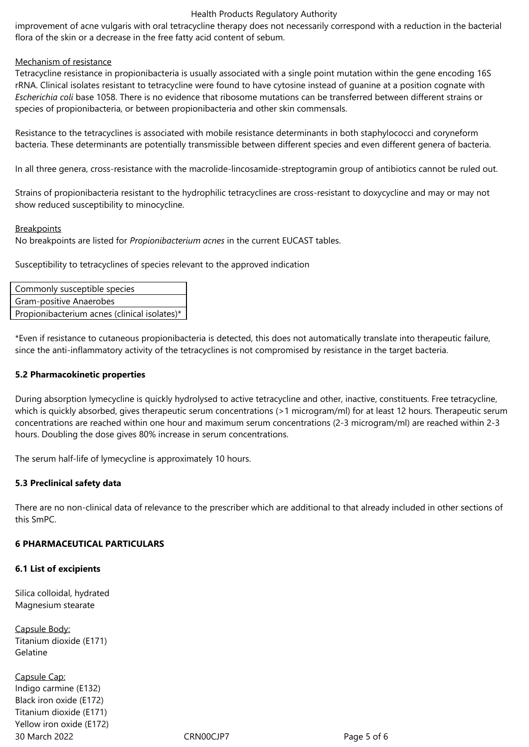#### Health Products Regulatory Authority

improvement of acne vulgaris with oral tetracycline therapy does not necessarily correspond with a reduction in the bacterial flora of the skin or a decrease in the free fatty acid content of sebum.

#### Mechanism of resistance

Tetracycline resistance in propionibacteria is usually associated with a single point mutation within the gene encoding 16S rRNA. Clinical isolates resistant to tetracycline were found to have cytosine instead of guanine at a position cognate with *Escherichia coli* base 1058. There is no evidence that ribosome mutations can be transferred between different strains or species of propionibacteria, or between propionibacteria and other skin commensals.

Resistance to the tetracyclines is associated with mobile resistance determinants in both staphylococci and coryneform bacteria. These determinants are potentially transmissible between different species and even different genera of bacteria.

In all three genera, cross-resistance with the macrolide-lincosamide-streptogramin group of antibiotics cannot be ruled out.

Strains of propionibacteria resistant to the hydrophilic tetracyclines are cross-resistant to doxycycline and may or may not show reduced susceptibility to minocycline.

#### **Breakpoints**

No breakpoints are listed for *Propionibacterium acnes* in the current EUCAST tables.

Susceptibility to tetracyclines of species relevant to the approved indication

| Commonly susceptible species                 |  |  |
|----------------------------------------------|--|--|
| Gram-positive Anaerobes                      |  |  |
| Propionibacterium acnes (clinical isolates)* |  |  |

\*Even if resistance to cutaneous propionibacteria is detected, this does not automatically translate into therapeutic failure, since the anti-inflammatory activity of the tetracyclines is not compromised by resistance in the target bacteria.

#### **5.2 Pharmacokinetic properties**

During absorption lymecycline is quickly hydrolysed to active tetracycline and other, inactive, constituents. Free tetracycline, which is quickly absorbed, gives therapeutic serum concentrations (>1 microgram/ml) for at least 12 hours. Therapeutic serum concentrations are reached within one hour and maximum serum concentrations (2‑3 microgram/ml) are reached within 2‑3 hours. Doubling the dose gives 80% increase in serum concentrations.

The serum half-life of lymecycline is approximately 10 hours.

## **5.3 Preclinical safety data**

There are no non-clinical data of relevance to the prescriber which are additional to that already included in other sections of this SmPC.

## **6 PHARMACEUTICAL PARTICULARS**

#### **6.1 List of excipients**

Silica colloidal, hydrated Magnesium stearate

Capsule Body: Titanium dioxide (E171) Gelatine

30 March 2022 CRN00CJP7 Page 5 of 6 Capsule Cap: Indigo carmine (E132) Black iron oxide (E172) Titanium dioxide (E171) Yellow iron oxide (E172)